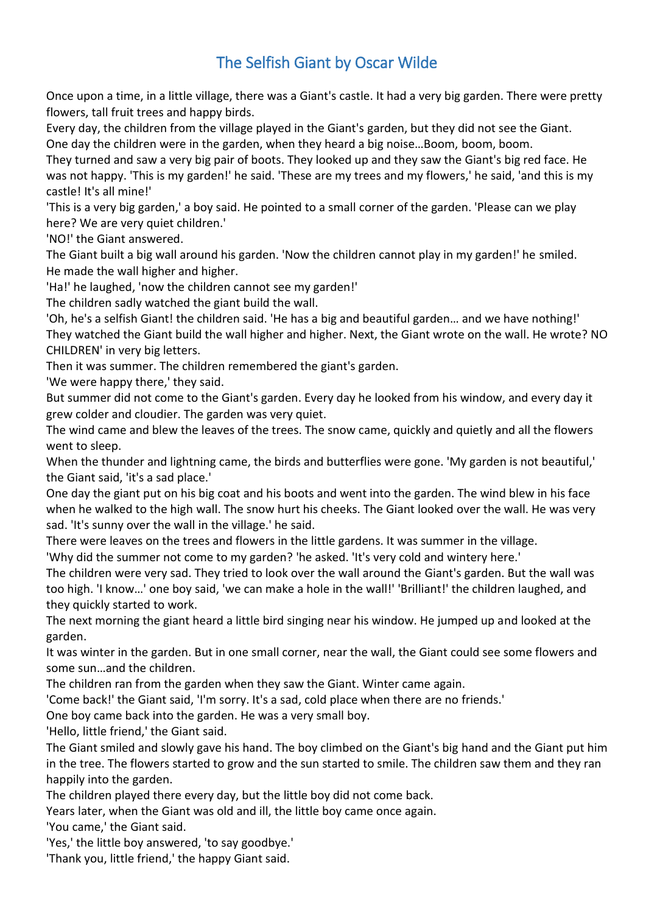## The Selfish Giant by Oscar Wilde

Once upon a time, in a little village, there was a Giant's castle. It had a very big garden. There were pretty flowers, tall fruit trees and happy birds.

Every day, the children from the village played in the Giant's garden, but they did not see the Giant. One day the children were in the garden, when they heard a big noise…Boom, boom, boom.

They turned and saw a very big pair of boots. They looked up and they saw the Giant's big red face. He was not happy. 'This is my garden!' he said. 'These are my trees and my flowers,' he said, 'and this is my castle! It's all mine!'

'This is a very big garden,' a boy said. He pointed to a small corner of the garden. 'Please can we play here? We are very quiet children.'

'NO!' the Giant answered.

The Giant built a big wall around his garden. 'Now the children cannot play in my garden!' he smiled. He made the wall higher and higher.

'Ha!' he laughed, 'now the children cannot see my garden!'

The children sadly watched the giant build the wall.

'Oh, he's a selfish Giant! the children said. 'He has a big and beautiful garden... and we have nothing!' They watched the Giant build the wall higher and higher. Next, the Giant wrote on the wall. He wrote? NO CHILDREN' in very big letters.

Then it was summer. The children remembered the giant's garden.

'We were happy there,' they said.

But summer did not come to the Giant's garden. Every day he looked from his window, and every day it grew colder and cloudier. The garden was very quiet.

The wind came and blew the leaves of the trees. The snow came, quickly and quietly and all the flowers went to sleep.

When the thunder and lightning came, the birds and butterflies were gone. 'My garden is not beautiful,' the Giant said, 'it's a sad place.'

One day the giant put on his big coat and his boots and went into the garden. The wind blew in his face when he walked to the high wall. The snow hurt his cheeks. The Giant looked over the wall. He was very sad. 'It's sunny over the wall in the village.' he said.

There were leaves on the trees and flowers in the little gardens. It was summer in the village.

'Why did the summer not come to my garden? 'he asked. 'It's very cold and wintery here.'

The children were very sad. They tried to look over the wall around the Giant's garden. But the wall was too high. 'I know…' one boy said, 'we can make a hole in the wall!' 'Brilliant!' the children laughed, and they quickly started to work.

The next morning the giant heard a little bird singing near his window. He jumped up and looked at the garden.

It was winter in the garden. But in one small corner, near the wall, the Giant could see some flowers and some sun…and the children.

The children ran from the garden when they saw the Giant. Winter came again.

'Come back!' the Giant said, 'I'm sorry. It's a sad, cold place when there are no friends.'

One boy came back into the garden. He was a very small boy.

'Hello, little friend,' the Giant said.

The Giant smiled and slowly gave his hand. The boy climbed on the Giant's big hand and the Giant put him in the tree. The flowers started to grow and the sun started to smile. The children saw them and they ran happily into the garden.

The children played there every day, but the little boy did not come back.

Years later, when the Giant was old and ill, the little boy came once again.

'You came,' the Giant said.

'Yes,' the little boy answered, 'to say goodbye.'

'Thank you, little friend,' the happy Giant said.